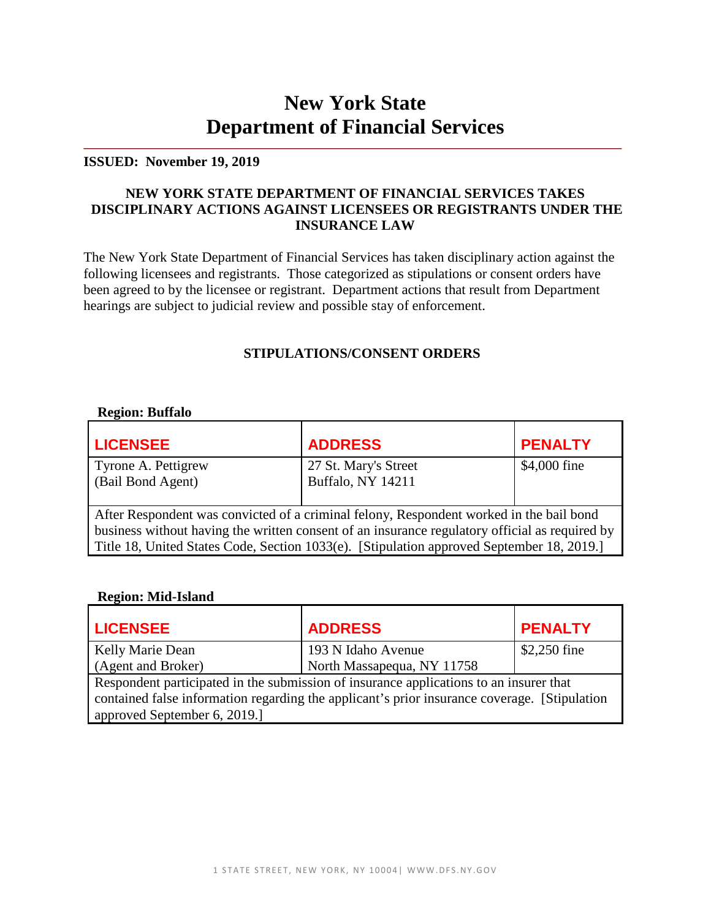# **New York State Department of Financial Services**

#### **ISSUED: November 19, 2019**

## **NEW YORK STATE DEPARTMENT OF FINANCIAL SERVICES TAKES DISCIPLINARY ACTIONS AGAINST LICENSEES OR REGISTRANTS UNDER THE INSURANCE LAW**

The New York State Department of Financial Services has taken disciplinary action against the following licensees and registrants. Those categorized as stipulations or consent orders have been agreed to by the licensee or registrant. Department actions that result from Department hearings are subject to judicial review and possible stay of enforcement.

# **STIPULATIONS/CONSENT ORDERS**

#### **Region: Buffalo**

| <b>LICENSEE</b>                                                                                                                                                                                                                                                                        | <b>ADDRESS</b>                                   | <b>PENALTY</b> |
|----------------------------------------------------------------------------------------------------------------------------------------------------------------------------------------------------------------------------------------------------------------------------------------|--------------------------------------------------|----------------|
| Tyrone A. Pettigrew<br>(Bail Bond Agent)                                                                                                                                                                                                                                               | 27 St. Mary's Street<br><b>Buffalo, NY 14211</b> | \$4,000 fine   |
| After Respondent was convicted of a criminal felony, Respondent worked in the bail bond<br>business without having the written consent of an insurance regulatory official as required by<br>Title 18, United States Code, Section 1033(e). [Stipulation approved September 18, 2019.] |                                                  |                |

#### **Region: Mid-Island**

| <b>LICENSEE</b>                                                                                                                                                                                                         | <b>ADDRESS</b>             | <b>PENALTY</b> |
|-------------------------------------------------------------------------------------------------------------------------------------------------------------------------------------------------------------------------|----------------------------|----------------|
| Kelly Marie Dean                                                                                                                                                                                                        | 193 N Idaho Avenue         | \$2,250 fine   |
| (Agent and Broker)                                                                                                                                                                                                      | North Massapequa, NY 11758 |                |
| Respondent participated in the submission of insurance applications to an insurer that<br>contained false information regarding the applicant's prior insurance coverage. [Stipulation]<br>approved September 6, 2019.] |                            |                |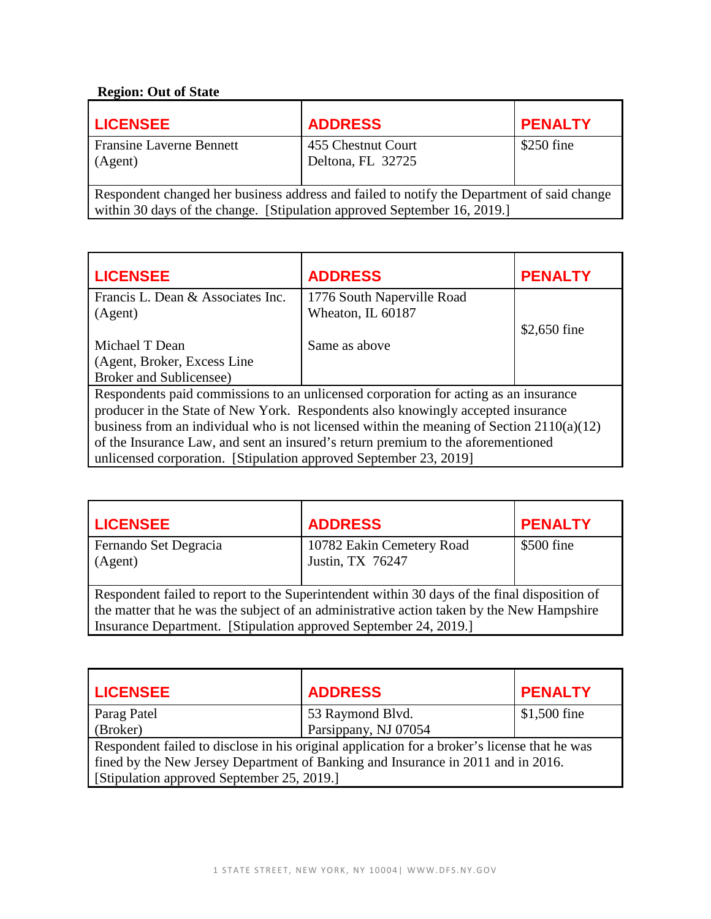## **Region: Out of State**

| <b>LICENSEE</b>                                                                                                                                                        | <b>ADDRESS</b>                          | <b>PENALTY</b> |
|------------------------------------------------------------------------------------------------------------------------------------------------------------------------|-----------------------------------------|----------------|
| <b>Fransine Laverne Bennett</b><br>(Agent)                                                                                                                             | 455 Chestnut Court<br>Deltona, FL 32725 | $$250$ fine    |
| Respondent changed her business address and failed to notify the Department of said change<br>within 30 days of the change. [Stipulation approved September 16, 2019.] |                                         |                |

**LICENSEE ADDRESS PENALTY** Francis L. Dean & Associates Inc. (Agent) Michael T Dean (Agent, Broker, Excess Line Broker and Sublicensee) 1776 South Naperville Road Wheaton, IL 60187 Same as above \$2,650 fine Respondents paid commissions to an unlicensed corporation for acting as an insurance producer in the State of New York. Respondents also knowingly accepted insurance business from an individual who is not licensed within the meaning of Section 2110(a)(12) of the Insurance Law, and sent an insured's return premium to the aforementioned unlicensed corporation. [Stipulation approved September 23, 2019]

| <b>LICENSEE</b>                                                                                                                                                                                                                                               | <b>ADDRESS</b>                                | <b>PENALTY</b> |
|---------------------------------------------------------------------------------------------------------------------------------------------------------------------------------------------------------------------------------------------------------------|-----------------------------------------------|----------------|
| Fernando Set Degracia<br>(Agent)                                                                                                                                                                                                                              | 10782 Eakin Cemetery Road<br>Justin, TX 76247 | \$500 fine     |
| Respondent failed to report to the Superintendent within 30 days of the final disposition of<br>the matter that he was the subject of an administrative action taken by the New Hampshire<br>Insurance Department. [Stipulation approved September 24, 2019.] |                                               |                |

| <b>LICENSEE</b>                                                                              | <b>ADDRESS</b>       | <b>PENALTY</b> |
|----------------------------------------------------------------------------------------------|----------------------|----------------|
| Parag Patel                                                                                  | 53 Raymond Blvd.     | $$1,500$ fine  |
| (Broker)                                                                                     | Parsippany, NJ 07054 |                |
| Respondent failed to disclose in his original application for a broker's license that he was |                      |                |
| fined by the New Jersey Department of Banking and Insurance in 2011 and in 2016.             |                      |                |
| [Stipulation approved September 25, 2019.]                                                   |                      |                |